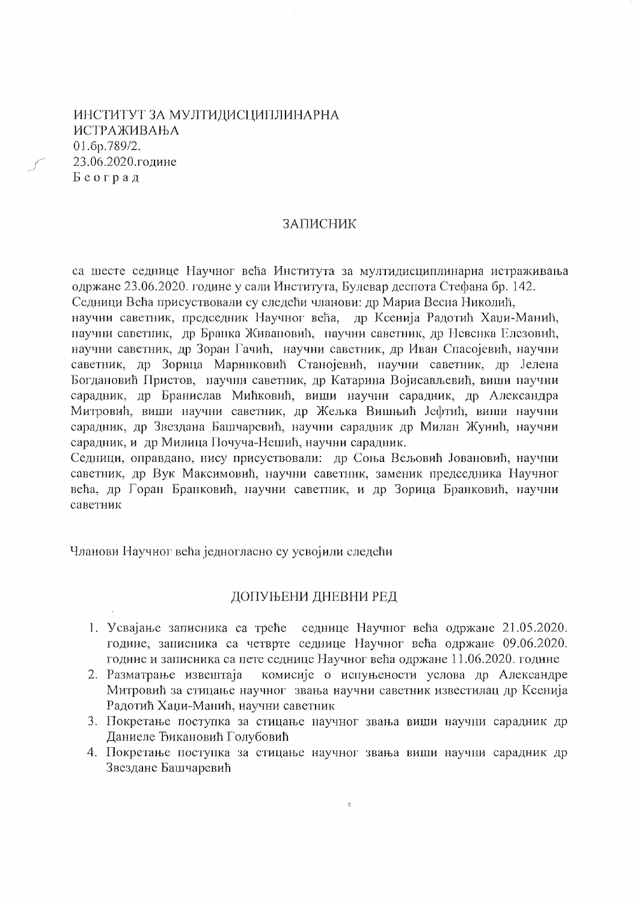# ИНСТИТУТ ЗА МУЛТИДИСЦИПЛИНАРНА **ИСТРАЖИВАЊА** 01.6p.789/2. 23.06.2020.године Београд

#### ЗАПИСНИК

са шесте седнице Научног већа Института за мултидисциплинарна истраживања одржане 23.06.2020. године у сали Института, Булевар деспота Стефана бр. 142. Седници Већа присуствовали су следећи чланови: др Мариа Весна Николић,

научни саветник, председник Научног већа, др Ксенија Радотић Хаџи-Манић, паучни саветник, др Бранка Живановић, научни саветник, др Невенка Елезовић, научни саветник, др Зоран Гачић, научни саветник, др Иван Спасојевић, научни саветник, др Зорица Маринковић Станојевић, научни саветник, др Јелена Богдановић Пристов, научни саветник, др Катарина Војисављевић, виши научни сарадник, др Бранислав Мићковић, виши научни сарадник, др Александра Митровић, виши научни саветник, др Жељка Вишњић Јефтић, виши научни сарадник, др Звездана Башчаревић, научни сарадник др Милан Жунић, научни сарадник, и др Милица Почуча-Нешић, научни сарадник.

Седници, оправдано, нису присуствовали: др Соња Вељовић Јовановић, научни саветник, др Вук Максимовић, научни саветник, заменик председника Научног већа, др Горан Бранковић, научни саветник, и др Зорица Бранковић, научни саветник

Чланови Научног већа једногласно су усвојили следећи

### ДОПУЊЕНИ ДНЕВНИ РЕД

- 1. Усвајање записника са треће седнице Научног већа одржане 21.05.2020. године, записника са четврте седнице Научног већа одржане 09.06.2020. године и записника са пете седнице Научног већа одржане 11.06.2020. године
- комисије о испуњености услова др Александре 2. Разматрање извештаја Митровић за стицање научног звања научни саветник известилац др Ксенија Радотић Хаџи-Манић, научни саветник
- 3. Покретање поступка за стицање научног звања виши научни сарадник др Даниеле Ђикановић Голубовић
- 4. Покретање поступка за стицање научног звања виши научни сарадник др Звездане Башчаревић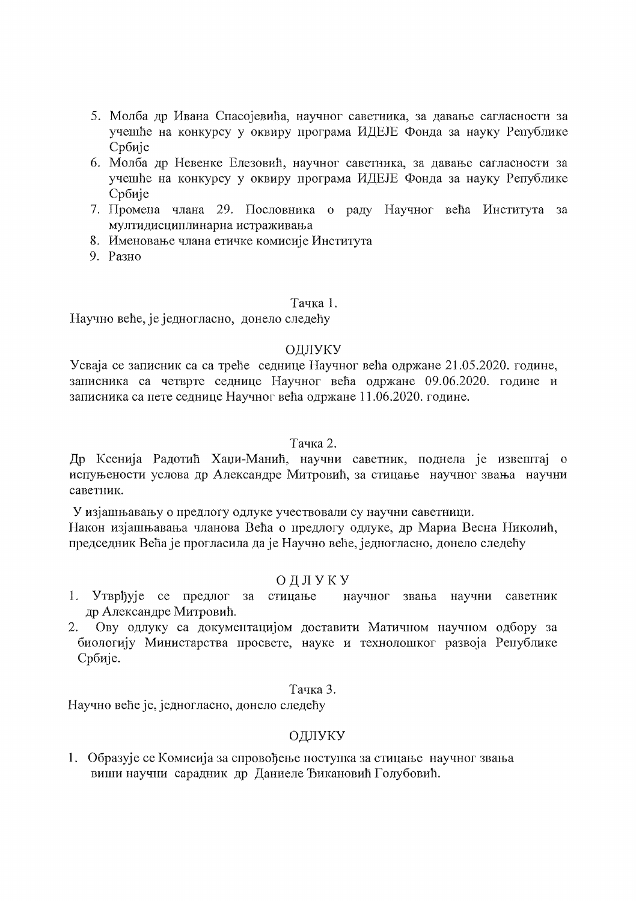- 5. Молба др Ивана Спасојевића, научног саветника, за давање сагласности за учешће на конкурсу у оквиру програма ИДЕЈЕ Фонда за науку Републике Србије
- 6. Молба др Невенке Елезовић, научног саветника, за давање сагласности за учешће на конкурсу у оквиру програма ИДЕЈЕ Фонда за науку Републике Србије
- 7. Промена члана 29. Пословника о раду Научног већа Института за мултидисциплинарна истраживања
- 8. Именовање члана етичке комисије Института
- 9. Разно

## Тачка 1.

Научно веће, је једногласно, донело следећу

## ОЛЛУКУ

Усваја се записник са са треће седнице Научног већа одржане 21.05.2020. године, записника са четврте седнице Научног већа одржане 09.06.2020. године и записника са пете седнице Научног већа одржане 11.06.2020. године.

## Тачка 2.

Др Ксенија Радотић Хаџи-Манић, научни саветник, поднела је извештај о испуњености услова др Александре Митровић, за стицање научног звања научни саветник.

У изјашњавању о предлогу одлуке учествовали су научни саветници. Након изјашњавања чланова Већа о предлогу одлуке, др Мариа Весна Николић, председник Већа је прогласила да је Научно веће, једногласно, донело следећу

# ОДЛУКУ

- 1. Утврђује се предлог за стицање научног звања научни саветник др Александре Митровић.
- Ову одлуку са документацијом доставити Матичном научном одбору за 2. биологију Министарства просвете, науке и технолошког развоја Републике Србије.

## Тачка 3.

Научно веће је, једногласно, донело следећу

# ОДЛУКУ

1. Образује се Комисија за спровођење поступка за стицање научног звања виши научни сарадник др Даниеле Ђикановић Голубовић.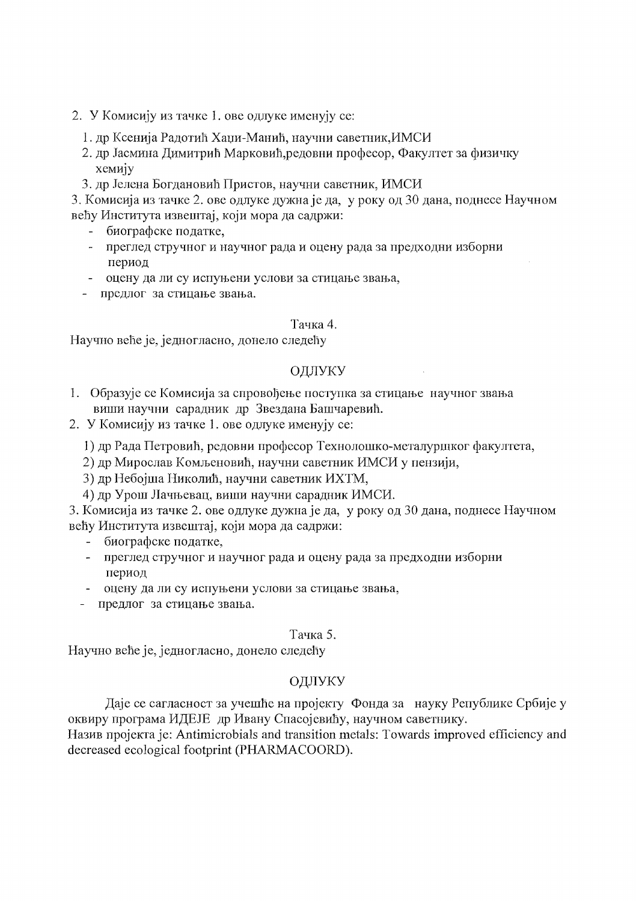- 2. У Комисију из тачке 1. ове одлуке именују се:
	- 1. др Ксенија Радотић Хаџи-Манић, научни саветник, ИМСИ
	- 2. др Јасмина Димитрић Марковић, редовни професор, Факултет за физичку хемију
	- 3. др Јелена Богдановић Пристов, научни саветник, ИМСИ

3. Комисија из тачке 2. ове одлуке дужна је да, у року од 30 дана, поднесе Научном већу Института извештај, који мора да садржи:

- биографске податке.  $\sim$
- преглед стручног и научног рада и оцену рада за предходни изборни период
- оцену да ли су испуњени услови за стицање звања,
- предлог за стицање звања.

#### Тачка 4.

Научно веће је, једногласно, донело следећу

### ОДЛУКУ

- 1. Образује се Комисија за спровођење поступка за стицање научног звања виши научни сарадник др Звездана Башчаревић.
- 2. У Комисију из тачке 1. ове одлуке именују се:
	- 1) др Рада Петровић, редовни професор Технолошко-металуршког факултета,
	- 2) др Мирослав Комљеновић, научни саветник ИМСИ у пензији,
	- 3) др Небојша Николић, научни саветник ИХТМ,
	- 4) др Урош Лачњевац, виши научни сарадник ИМСИ.
- 3. Комисија из тачке 2. ове одлуке дужна је да, у року од 30 дана, поднесе Научном већу Института извештај, који мора да садржи:
	- биографске податке,
	- преглед стручног и научног рада и оцену рада за предходни изборни период
	- оцену да ли су испуњени услови за стицање звања,
	- предлог за стицање звања.

### Тачка 5.

Научно веће је, једногласно, донело следећу

# ОДЛУКУ

Даје се сагласност за учешће на пројекту Фонда за науку Републике Србије у оквиру програма ИДЕЈЕ др Ивану Спасојевићу, научном саветнику.

Назив пројекта је: Antimicrobials and transition metals: Towards improved efficiency and decreased ecological footprint (PHARMACOORD).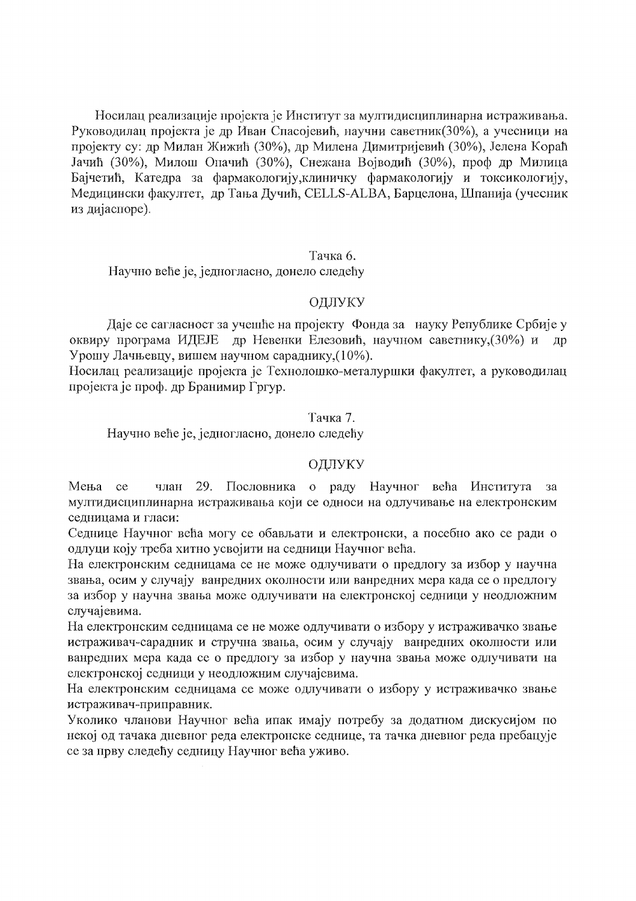Носилац реализације пројекта је Институт за мултидисциплинарна истраживања. Руководилац пројекта је др Иван Спасојевић, научни саветник(30%), а учесници на пројекту су: др Милан Жижић (30%), др Милена Димитријевић (30%), Јелена Кораћ Јачић (30%), Милош Опачић (30%), Снежана Војводић (30%), проф др Милица Бајчетић, Катедра за фармакологију, клиничку фармакологију и токсикологију, Медицински факултет, др Тања Дучић, CELLS-ALBA, Барцелона, Шпанија (учесник из дијаспоре).

#### Тачка б.

Научно веће је, једногласно, донело следећу

### ОДЛУКУ

Даје се сагласност за учешће на пројекту Фонда за науку Републике Србије у оквиру програма ИДЕЈЕ др Невенки Елезовић, научном саветнику, (30%) и  $\overline{a}$ Урошу Лачњевцу, вишем научном сараднику, (10%).

Носилац реализације пројекта је Технолошко-металуршки факултет, а руководилац пројекта је проф. др Бранимир Гргур.

## Тачка 7.

Научно веће је, једногласно, донело следећу

# ОДЛУКУ

Мења 29. Пословника о раду Научног већа Института ce члан за мултидисциплинарна истраживања који се односи на одлучивање на електронским седницама и гласи:

Седнице Научног већа могу се обављати и електронски, а посебно ако се ради о одлуци коју треба хитно усвојити на седници Научног већа.

На електронским седницама се не може одлучивати о предлогу за избор у научна звања, осим у случају ванредних околности или ванредних мера када се о предлогу за избор у научна звања може одлучивати на електронској седници у неодложним случајевима.

На електронским седницама се не може одлучивати о избору у истраживачко звање истраживач-сарадник и стручна звања, осим у случају ванредних околности или ванредних мера када се о предлогу за избор у научна звања може одлучивати на електронској седници у неодложним случајевима.

На електронским седницама се може одлучивати о избору у истраживачко звање истраживач-приправник.

Уколико чланови Научног већа ипак имају потребу за додатном дискусијом по некој од тачака дневног реда електронске седнице, та тачка дневног реда пребацује се за прву следећу седницу Научног већа уживо.